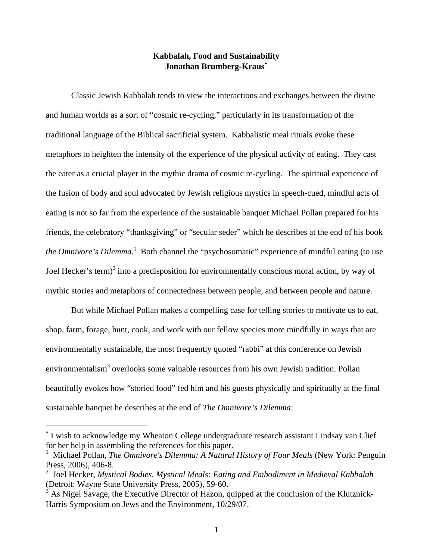## **Kabbalah, Food and Sustainability Jonathan Brumberg-Kraus**<sup>∗</sup>

 Classic Jewish Kabbalah tends to view the interactions and exchanges between the divine and human worlds as a sort of "cosmic re-cycling," particularly in its transformation of the traditional language of the Biblical sacrificial system. Kabbalistic meal rituals evoke these metaphors to heighten the intensity of the experience of the physical activity of eating. They cast the eater as a crucial player in the mythic drama of cosmic re-cycling. The spiritual experience of the fusion of body and soul advocated by Jewish religious mystics in speech-cued, mindful acts of eating is not so far from the experience of the sustainable banquet Michael Pollan prepared for his friends, the celebratory "thanksgiving" or "secular seder" which he describes at the end of his book the Omnivore's Dilemma.<sup>1</sup> Both channel the "psychosomatic" experience of mindful eating (to use Joel Hecker's term)<sup>2</sup> into a predisposition for environmentally conscious moral action, by way of mythic stories and metaphors of connectedness between people, and between people and nature.

 But while Michael Pollan makes a compelling case for telling stories to motivate us to eat, shop, farm, forage, hunt, cook, and work with our fellow species more mindfully in ways that are environmentally sustainable, the most frequently quoted "rabbi" at this conference on Jewish environmentalism<sup>3</sup> overlooks some valuable resources from his own Jewish tradition. Pollan beautifully evokes how "storied food" fed him and his guests physically and spiritually at the final sustainable banquet he describes at the end of *The Omnivore's Dilemma*:

<sup>∗</sup> I wish to acknowledge my Wheaton College undergraduate research assistant Lindsay van Clief for her help in assembling the references for this paper.

<sup>&</sup>lt;sup>1</sup> Michael Pollan, *The Omnivore's Dilemma: A Natural History of Four Meals* (New York: Penguin Press, 2006), 406-8.

<sup>2</sup> Joel Hecker, *Mystical Bodies, Mystical Meals: Eating and Embodiment in Medieval Kabbalah* (Detroit: Wayne State University Press, 2005), 59-60.

 $3$  As Nigel Savage, the Executive Director of Hazon, quipped at the conclusion of the Klutznick-Harris Symposium on Jews and the Environment, 10/29/07.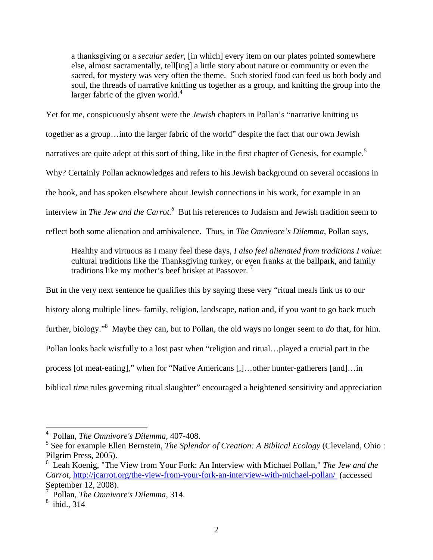a thanksgiving or a *secular seder*, [in which] every item on our plates pointed somewhere else, almost sacramentally, tell[ing] a little story about nature or community or even the sacred, for mystery was very often the theme. Such storied food can feed us both body and soul, the threads of narrative knitting us together as a group, and knitting the group into the larger fabric of the given world. $4$ 

Yet for me, conspicuously absent were the *Jewish* chapters in Pollan's "narrative knitting us together as a group…into the larger fabric of the world" despite the fact that our own Jewish narratives are quite adept at this sort of thing, like in the first chapter of Genesis, for example.<sup>5</sup> Why? Certainly Pollan acknowledges and refers to his Jewish background on several occasions in the book, and has spoken elsewhere about Jewish connections in his work, for example in an interview in *The Jew and the Carrot.*<sup>6</sup> But his references to Judaism and Jewish tradition seem to reflect both some alienation and ambivalence. Thus, in *The Omnivore's Dilemma*, Pollan says,

Healthy and virtuous as I many feel these days, *I also feel alienated from traditions I value*: cultural traditions like the Thanksgiving turkey, or even franks at the ballpark, and family traditions like my mother's beef brisket at Passover.<sup>7</sup>

But in the very next sentence he qualifies this by saying these very "ritual meals link us to our history along multiple lines- family, religion, landscape, nation and, if you want to go back much further, biology."<sup>8</sup> Maybe they can, but to Pollan, the old ways no longer seem to *do* that, for him. Pollan looks back wistfully to a lost past when "religion and ritual…played a crucial part in the process [of meat-eating]," when for "Native Americans [,]…other hunter-gatherers [and]…in biblical *time* rules governing ritual slaughter" encouraged a heightened sensitivity and appreciation

<sup>4</sup> Pollan, *The Omnivore's Dilemma,* 407-408.

<sup>5</sup> See for example Ellen Bernstein, *The Splendor of Creation: A Biblical Ecology* (Cleveland, Ohio : Pilgrim Press, 2005).

<sup>6</sup> Leah Koenig, "The View from Your Fork: An Interview with Michael Pollan," *The Jew and the Carrot*, http://jcarrot.org/the-view-from-your-fork-an-interview-with-michael-pollan/ (accessed September 12, 2008).

<sup>7</sup> Pollan, *The Omnivore's Dilemma*, 314.

<sup>8</sup> ibid., 314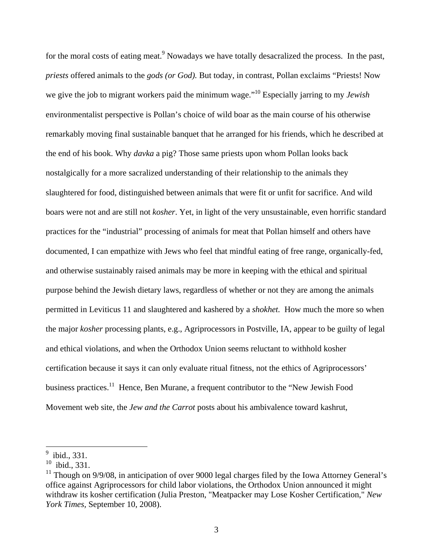for the moral costs of eating meat.<sup>9</sup> Nowadays we have totally desacralized the process. In the past, *priests* offered animals to the *gods (or God).* But today, in contrast, Pollan exclaims "Priests! Now we give the job to migrant workers paid the minimum wage."10 Especially jarring to my *Jewish* environmentalist perspective is Pollan's choice of wild boar as the main course of his otherwise remarkably moving final sustainable banquet that he arranged for his friends, which he described at the end of his book. Why *davka* a pig? Those same priests upon whom Pollan looks back nostalgically for a more sacralized understanding of their relationship to the animals they slaughtered for food, distinguished between animals that were fit or unfit for sacrifice. And wild boars were not and are still not *kosher*. Yet, in light of the very unsustainable, even horrific standard practices for the "industrial" processing of animals for meat that Pollan himself and others have documented, I can empathize with Jews who feel that mindful eating of free range, organically-fed, and otherwise sustainably raised animals may be more in keeping with the ethical and spiritual purpose behind the Jewish dietary laws, regardless of whether or not they are among the animals permitted in Leviticus 11 and slaughtered and kashered by a *shokhet.* How much the more so when the major *kosher* processing plants, e.g., Agriprocessors in Postville, IA, appear to be guilty of legal and ethical violations, and when the Orthodox Union seems reluctant to withhold kosher certification because it says it can only evaluate ritual fitness, not the ethics of Agriprocessors' business practices.<sup>11</sup> Hence, Ben Murane, a frequent contributor to the "New Jewish Food Movement web site, the *Jew and the Carrot* posts about his ambivalence toward kashrut,

<sup>&</sup>lt;sup>9</sup> ibid., 331.

 $10$  ibid., 331.

 $11$  Though on 9/9/08, in anticipation of over 9000 legal charges filed by the Iowa Attorney General's office against Agriprocessors for child labor violations, the Orthodox Union announced it might withdraw its kosher certification (Julia Preston, "Meatpacker may Lose Kosher Certification," *New York Times,* September 10, 2008).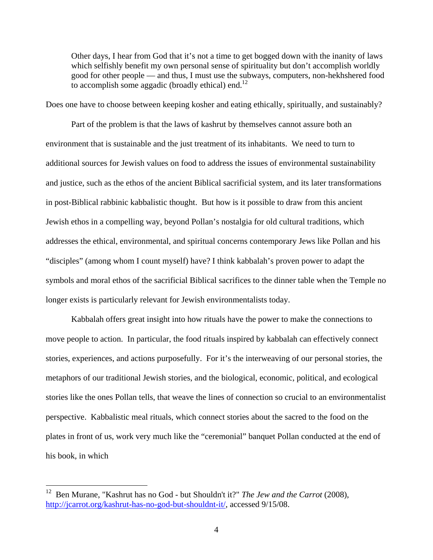Other days, I hear from God that it's not a time to get bogged down with the inanity of laws which selfishly benefit my own personal sense of spirituality but don't accomplish worldly good for other people — and thus, I must use the subways, computers, non-hekhshered food to accomplish some aggadic (broadly ethical) end.<sup>12</sup>

Does one have to choose between keeping kosher and eating ethically, spiritually, and sustainably?

Part of the problem is that the laws of kashrut by themselves cannot assure both an environment that is sustainable and the just treatment of its inhabitants. We need to turn to additional sources for Jewish values on food to address the issues of environmental sustainability and justice, such as the ethos of the ancient Biblical sacrificial system, and its later transformations in post-Biblical rabbinic kabbalistic thought. But how is it possible to draw from this ancient Jewish ethos in a compelling way, beyond Pollan's nostalgia for old cultural traditions, which addresses the ethical, environmental, and spiritual concerns contemporary Jews like Pollan and his "disciples" (among whom I count myself) have? I think kabbalah's proven power to adapt the symbols and moral ethos of the sacrificial Biblical sacrifices to the dinner table when the Temple no longer exists is particularly relevant for Jewish environmentalists today.

 Kabbalah offers great insight into how rituals have the power to make the connections to move people to action. In particular, the food rituals inspired by kabbalah can effectively connect stories, experiences, and actions purposefully. For it's the interweaving of our personal stories, the metaphors of our traditional Jewish stories, and the biological, economic, political, and ecological stories like the ones Pollan tells, that weave the lines of connection so crucial to an environmentalist perspective. Kabbalistic meal rituals, which connect stories about the sacred to the food on the plates in front of us, work very much like the "ceremonial" banquet Pollan conducted at the end of his book, in which

<sup>12</sup> Ben Murane, "Kashrut has no God - but Shouldn't it?" *The Jew and the Carrot* (2008), http://jcarrot.org/kashrut-has-no-god-but-shouldnt-it/, accessed 9/15/08.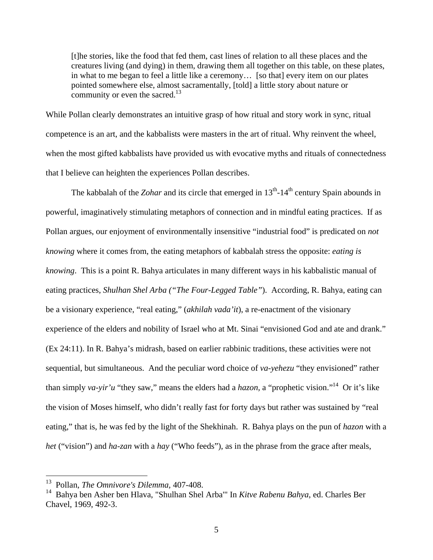[t]he stories, like the food that fed them, cast lines of relation to all these places and the creatures living (and dying) in them, drawing them all together on this table, on these plates, in what to me began to feel a little like a ceremony… [so that] every item on our plates pointed somewhere else, almost sacramentally, [told] a little story about nature or community or even the sacred.<sup>13</sup>

While Pollan clearly demonstrates an intuitive grasp of how ritual and story work in sync, ritual competence is an art, and the kabbalists were masters in the art of ritual. Why reinvent the wheel, when the most gifted kabbalists have provided us with evocative myths and rituals of connectedness that I believe can heighten the experiences Pollan describes.

The kabbalah of the *Zohar* and its circle that emerged in 13<sup>th</sup>-14<sup>th</sup> century Spain abounds in powerful, imaginatively stimulating metaphors of connection and in mindful eating practices. If as Pollan argues, our enjoyment of environmentally insensitive "industrial food" is predicated on *not knowing* where it comes from, the eating metaphors of kabbalah stress the opposite: *eating is knowing*. This is a point R. Bahya articulates in many different ways in his kabbalistic manual of eating practices, *Shulhan Shel Arba ("The Four-Legged Table"*). According, R. Bahya, eating can be a visionary experience, "real eating," (*akhilah vada'it*), a re-enactment of the visionary experience of the elders and nobility of Israel who at Mt. Sinai "envisioned God and ate and drank." (Ex 24:11). In R. Bahya's midrash, based on earlier rabbinic traditions, these activities were not sequential, but simultaneous. And the peculiar word choice of *va-yehezu* "they envisioned" rather than simply *va-yir'u* "they saw," means the elders had a *hazon,* a "prophetic vision."14 Or it's like the vision of Moses himself, who didn't really fast for forty days but rather was sustained by "real eating," that is, he was fed by the light of the Shekhinah. R. Bahya plays on the pun of *hazon* with a *het* ("vision") and *ha-zan* with a *hay* ("Who feeds"), as in the phrase from the grace after meals,

<sup>13</sup> Pollan, *The Omnivore's Dilemma,* 407-408.

<sup>14</sup> Bahya ben Asher ben Hlava, "Shulhan Shel Arba'" In *Kitve Rabenu Bahya*, ed. Charles Ber Chavel, 1969, 492-3.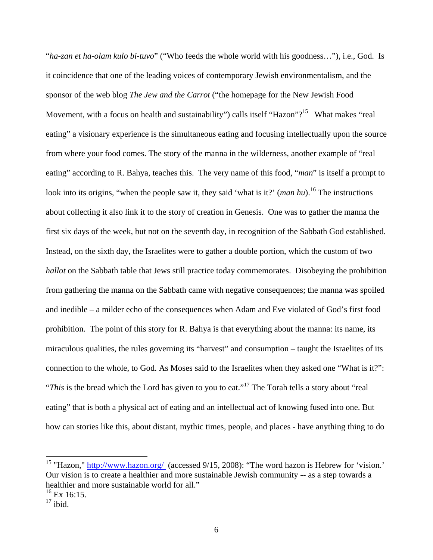"*ha-zan et ha-olam kulo bi-tuvo*" ("Who feeds the whole world with his goodness…"), i.e., God. Is it coincidence that one of the leading voices of contemporary Jewish environmentalism, and the sponsor of the web blog *The Jew and the Carrot* ("the homepage for the New Jewish Food Movement, with a focus on health and sustainability") calls itself "Hazon"?<sup>15</sup> What makes "real eating" a visionary experience is the simultaneous eating and focusing intellectually upon the source from where your food comes. The story of the manna in the wilderness, another example of "real eating" according to R. Bahya, teaches this. The very name of this food, "*man*" is itself a prompt to look into its origins, "when the people saw it, they said 'what is it?' (*man hu*).<sup>16</sup> The instructions about collecting it also link it to the story of creation in Genesis. One was to gather the manna the first six days of the week, but not on the seventh day, in recognition of the Sabbath God established. Instead, on the sixth day, the Israelites were to gather a double portion, which the custom of two *hallot* on the Sabbath table that Jews still practice today commemorates. Disobeying the prohibition from gathering the manna on the Sabbath came with negative consequences; the manna was spoiled and inedible – a milder echo of the consequences when Adam and Eve violated of God's first food prohibition. The point of this story for R. Bahya is that everything about the manna: its name, its miraculous qualities, the rules governing its "harvest" and consumption – taught the Israelites of its connection to the whole, to God. As Moses said to the Israelites when they asked one "What is it?": "*This* is the bread which the Lord has given to you to eat."<sup>17</sup> The Torah tells a story about "real" eating" that is both a physical act of eating and an intellectual act of knowing fused into one. But how can stories like this, about distant, mythic times, people, and places - have anything thing to do

<sup>&</sup>lt;sup>15</sup> "Hazon," http://www.hazon.org/ (accessed  $9/15$ , 2008): "The word hazon is Hebrew for 'vision.' Our vision is to create a healthier and more sustainable Jewish community -- as a step towards a healthier and more sustainable world for all."

 $^{16}$  Ex 16:15.

 $17$  ibid.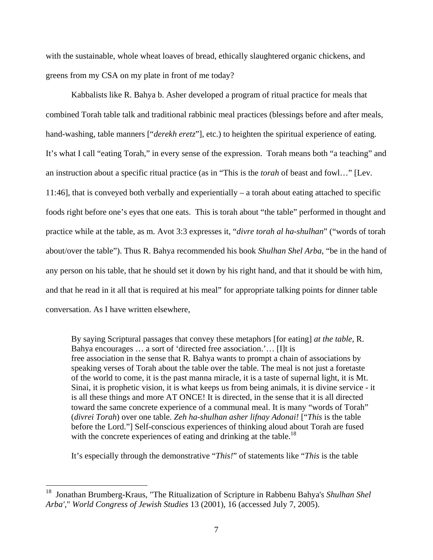with the sustainable, whole wheat loaves of bread, ethically slaughtered organic chickens, and greens from my CSA on my plate in front of me today?

Kabbalists like R. Bahya b. Asher developed a program of ritual practice for meals that combined Torah table talk and traditional rabbinic meal practices (blessings before and after meals, hand-washing, table manners ["*derekh eretz*"], etc.) to heighten the spiritual experience of eating. It's what I call "eating Torah," in every sense of the expression. Torah means both "a teaching" and an instruction about a specific ritual practice (as in "This is the *torah* of beast and fowl…" [Lev. 11:46], that is conveyed both verbally and experientially – a torah about eating attached to specific foods right before one's eyes that one eats. This is torah about "the table" performed in thought and practice while at the table, as m. Avot 3:3 expresses it, "*divre torah al ha-shulhan*" ("words of torah about/over the table"). Thus R. Bahya recommended his book *Shulhan Shel Arba*, "be in the hand of any person on his table, that he should set it down by his right hand, and that it should be with him, and that he read in it all that is required at his meal" for appropriate talking points for dinner table conversation. As I have written elsewhere,

By saying Scriptural passages that convey these metaphors [for eating] *at the table*, R. Bahya encourages … a sort of 'directed free association.'… [I]t is free association in the sense that R. Bahya wants to prompt a chain of associations by speaking verses of Torah about the table over the table. The meal is not just a foretaste of the world to come, it is the past manna miracle, it is a taste of supernal light, it is Mt. Sinai, it is prophetic vision, it is what keeps us from being animals, it is divine service - it is all these things and more AT ONCE! It is directed, in the sense that it is all directed toward the same concrete experience of a communal meal. It is many "words of Torah" (*divrei Torah*) over one table. *Zeh ha-shulhan asher lifnay Adonai!* ["*This* is the table before the Lord."] Self-conscious experiences of thinking aloud about Torah are fused with the concrete experiences of eating and drinking at the table.<sup>18</sup>

It's especially through the demonstrative "*This!*" of statements like "*This* is the table

<sup>18</sup> Jonathan Brumberg-Kraus, "The Ritualization of Scripture in Rabbenu Bahya's *Shulhan Shel Arba'*," *World Congress of Jewish Studies* 13 (2001), 16 (accessed July 7, 2005).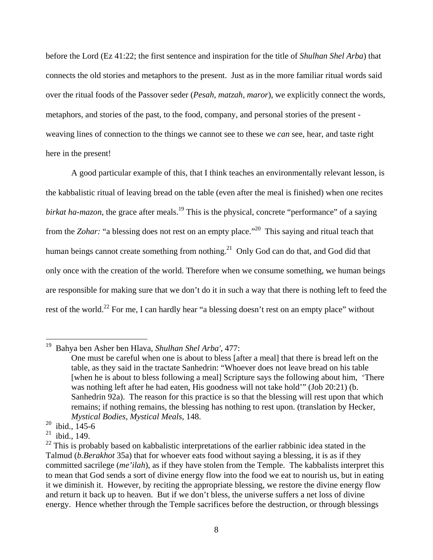before the Lord (Ez 41:22; the first sentence and inspiration for the title of *Shulhan Shel Arba*) that connects the old stories and metaphors to the present. Just as in the more familiar ritual words said over the ritual foods of the Passover seder (*Pesah, matzah, maror*), we explicitly connect the words, metaphors, and stories of the past, to the food, company, and personal stories of the present weaving lines of connection to the things we cannot see to these we *can* see, hear, and taste right here in the present!

A good particular example of this, that I think teaches an environmentally relevant lesson, is the kabbalistic ritual of leaving bread on the table (even after the meal is finished) when one recites *birkat ha-mazon*, the grace after meals.<sup>19</sup> This is the physical, concrete "performance" of a saying from the *Zohar*: "a blessing does not rest on an empty place."<sup>20</sup> This saying and ritual teach that human beings cannot create something from nothing.<sup>21</sup> Only God can do that, and God did that only once with the creation of the world. Therefore when we consume something, we human beings are responsible for making sure that we don't do it in such a way that there is nothing left to feed the rest of the world.<sup>22</sup> For me, I can hardly hear "a blessing doesn't rest on an empty place" without

<sup>19</sup> 19 Bahya ben Asher ben Hlava, *Shulhan Shel Arba'*, 477:

One must be careful when one is about to bless [after a meal] that there is bread left on the table, as they said in the tractate Sanhedrin: "Whoever does not leave bread on his table [when he is about to bless following a meal] Scripture says the following about him, 'There was nothing left after he had eaten, His goodness will not take hold'" (Job 20:21) (b. Sanhedrin 92a). The reason for this practice is so that the blessing will rest upon that which remains; if nothing remains, the blessing has nothing to rest upon. (translation by Hecker, *Mystical Bodies, Mystical Meals*, 148.

 $20$  ibid., 145-6

 $21$  ibid., 149.

 $22$  This is probably based on kabbalistic interpretations of the earlier rabbinic idea stated in the Talmud (*b.Berakhot* 35a) that for whoever eats food without saying a blessing, it is as if they committed sacrilege (*me'ilah*), as if they have stolen from the Temple. The kabbalists interpret this to mean that God sends a sort of divine energy flow into the food we eat to nourish us, but in eating it we diminish it. However, by reciting the appropriate blessing, we restore the divine energy flow and return it back up to heaven. But if we don't bless, the universe suffers a net loss of divine energy. Hence whether through the Temple sacrifices before the destruction, or through blessings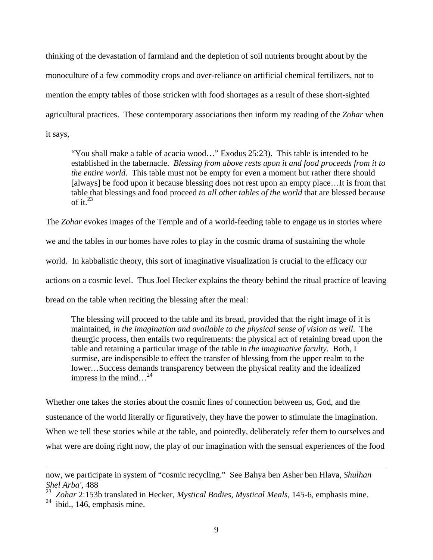thinking of the devastation of farmland and the depletion of soil nutrients brought about by the monoculture of a few commodity crops and over-reliance on artificial chemical fertilizers, not to mention the empty tables of those stricken with food shortages as a result of these short-sighted agricultural practices. These contemporary associations then inform my reading of the *Zohar* when it says,

"You shall make a table of acacia wood…" Exodus 25:23). This table is intended to be established in the tabernacle. *Blessing from above rests upon it and food proceeds from it to the entire world*. This table must not be empty for even a moment but rather there should [always] be food upon it because blessing does not rest upon an empty place...It is from that table that blessings and food proceed *to all other tables of the world* that are blessed because of it. $^{23}$ 

The *Zohar* evokes images of the Temple and of a world-feeding table to engage us in stories where

we and the tables in our homes have roles to play in the cosmic drama of sustaining the whole

world. In kabbalistic theory, this sort of imaginative visualization is crucial to the efficacy our

actions on a cosmic level. Thus Joel Hecker explains the theory behind the ritual practice of leaving

bread on the table when reciting the blessing after the meal:

The blessing will proceed to the table and its bread, provided that the right image of it is maintained, *in the imagination and available to the physical sense of vision as well*. The theurgic process, then entails two requirements: the physical act of retaining bread upon the table and retaining a particular image of the table *in the imaginative faculty*. Both, I surmise, are indispensible to effect the transfer of blessing from the upper realm to the lower…Success demands transparency between the physical reality and the idealized impress in the mind... $^{24}$ 

Whether one takes the stories about the cosmic lines of connection between us, God, and the sustenance of the world literally or figuratively, they have the power to stimulate the imagination. When we tell these stories while at the table, and pointedly, deliberately refer them to ourselves and what were are doing right now, the play of our imagination with the sensual experiences of the food

1

now, we participate in system of "cosmic recycling." See Bahya ben Asher ben Hlava, *Shulhan Shel Arba'*, 488

<sup>23</sup> *Zohar* 2:153b translated in Hecker, *Mystical Bodies, Mystical Meals*, 145-6, emphasis mine.

 $24$  ibid., 146, emphasis mine.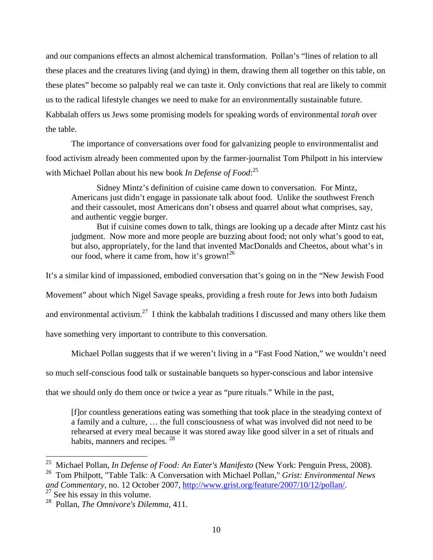and our companions effects an almost alchemical transformation. Pollan's "lines of relation to all these places and the creatures living (and dying) in them, drawing them all together on this table, on these plates" become so palpably real we can taste it. Only convictions that real are likely to commit us to the radical lifestyle changes we need to make for an environmentally sustainable future. Kabbalah offers us Jews some promising models for speaking words of environmental *torah* over the table.

The importance of conversations over food for galvanizing people to environmentalist and food activism already been commented upon by the farmer-journalist Tom Philpott in his interview with Michael Pollan about his new book *In Defense of Food*: 25

Sidney Mintz's definition of cuisine came down to conversation. For Mintz, Americans just didn't engage in passionate talk about food. Unlike the southwest French and their cassoulet, most Americans don't obsess and quarrel about what comprises, say, and authentic veggie burger.

But if cuisine comes down to talk, things are looking up a decade after Mintz cast his judgment. Now more and more people are buzzing about food; not only what's good to eat, but also, appropriately, for the land that invented MacDonalds and Cheetos, about what's in our food, where it came from, how it's grown!<sup>26</sup>

It's a similar kind of impassioned, embodied conversation that's going on in the "New Jewish Food

Movement" about which Nigel Savage speaks, providing a fresh route for Jews into both Judaism

and environmental activism.<sup>27</sup> I think the kabbalah traditions I discussed and many others like them

have something very important to contribute to this conversation.

Michael Pollan suggests that if we weren't living in a "Fast Food Nation," we wouldn't need

so much self-conscious food talk or sustainable banquets so hyper-conscious and labor intensive

that we should only do them once or twice a year as "pure rituals." While in the past,

[f]or countless generations eating was something that took place in the steadying context of a family and a culture, … the full consciousness of what was involved did not need to be rehearsed at every meal because it was stored away like good silver in a set of rituals and habits, manners and recipes. <sup>28</sup>

<sup>25</sup> Michael Pollan, *In Defense of Food: An Eater's Manifesto* (New York: Penguin Press, 2008).

<sup>26</sup> Tom Philpott, "Table Talk: A Conversation with Michael Pollan," *Grist: Environmental News and Commentary*, no. 12 October 2007, <u>http://www.grist.org/feature/2007/10/12/pollan/</u>. <sup>27</sup> See his essay in this volume.

<sup>28</sup> Pollan, *The Omnivore's Dilemma*, 411.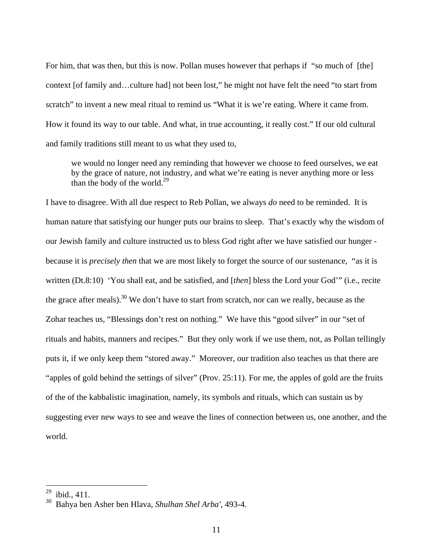For him, that was then, but this is now. Pollan muses however that perhaps if "so much of [the] context [of family and…culture had] not been lost," he might not have felt the need "to start from scratch" to invent a new meal ritual to remind us "What it is we're eating. Where it came from. How it found its way to our table. And what, in true accounting, it really cost." If our old cultural and family traditions still meant to us what they used to,

we would no longer need any reminding that however we choose to feed ourselves, we eat by the grace of nature, not industry, and what we're eating is never anything more or less than the body of the world.<sup>29</sup>

I have to disagree. With all due respect to Reb Pollan, we always *do* need to be reminded. It is human nature that satisfying our hunger puts our brains to sleep. That's exactly why the wisdom of our Jewish family and culture instructed us to bless God right after we have satisfied our hunger because it is *precisely then* that we are most likely to forget the source of our sustenance, "as it is written (Dt.8:10) 'You shall eat, and be satisfied, and [*then*] bless the Lord your God'" (i.e., recite the grace after meals).<sup>30</sup> We don't have to start from scratch, nor can we really, because as the Zohar teaches us, "Blessings don't rest on nothing." We have this "good silver" in our "set of rituals and habits, manners and recipes." But they only work if we use them, not, as Pollan tellingly puts it, if we only keep them "stored away." Moreover, our tradition also teaches us that there are "apples of gold behind the settings of silver" (Prov. 25:11). For me, the apples of gold are the fruits of the of the kabbalistic imagination, namely, its symbols and rituals, which can sustain us by suggesting ever new ways to see and weave the lines of connection between us, one another, and the world.

 $^{29}$  ibid., 411.

<sup>30</sup> Bahya ben Asher ben Hlava, *Shulhan Shel Arba'*, 493-4.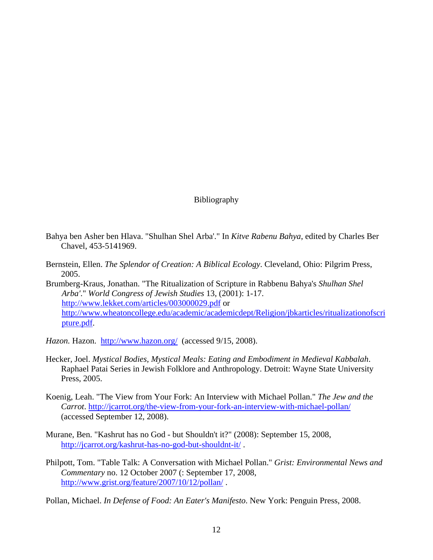## Bibliography

- Bahya ben Asher ben Hlava. "Shulhan Shel Arba'." In *Kitve Rabenu Bahya*, edited by Charles Ber Chavel, 453-5141969.
- Bernstein, Ellen. *The Splendor of Creation: A Biblical Ecology*. Cleveland, Ohio: Pilgrim Press, 2005.
- Brumberg-Kraus, Jonathan. "The Ritualization of Scripture in Rabbenu Bahya's *Shulhan Shel Arba'*." *World Congress of Jewish Studies* 13, (2001): 1-17. http://www.lekket.com/articles/003000029.pdf or http://www.wheatoncollege.edu/academic/academicdept/Religion/jbkarticles/ritualizationofscri pture.pdf.

*Hazon.* Hazon. http://www.hazon.org/ (accessed 9/15, 2008).

- Hecker, Joel. *Mystical Bodies, Mystical Meals: Eating and Embodiment in Medieval Kabbalah*. Raphael Patai Series in Jewish Folklore and Anthropology. Detroit: Wayne State University Press, 2005.
- Koenig, Leah. "The View from Your Fork: An Interview with Michael Pollan." *The Jew and the Carrot*. http://jcarrot.org/the-view-from-your-fork-an-interview-with-michael-pollan/ (accessed September 12, 2008).
- Murane, Ben. "Kashrut has no God but Shouldn't it?" (2008): September 15, 2008, http://jcarrot.org/kashrut-has-no-god-but-shouldnt-it/ .
- Philpott, Tom. "Table Talk: A Conversation with Michael Pollan." *Grist: Environmental News and Commentary* no. 12 October 2007 (: September 17, 2008, http://www.grist.org/feature/2007/10/12/pollan/ .

Pollan, Michael. *In Defense of Food: An Eater's Manifesto*. New York: Penguin Press, 2008.